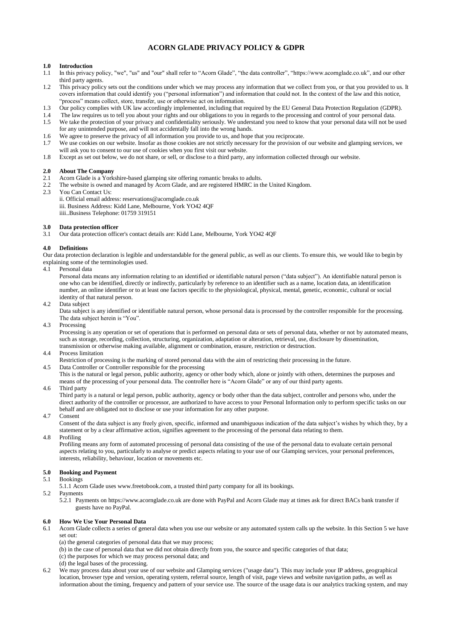## **ACORN GLADE PRIVACY POLICY & GDPR**

## **1.0 Introduction**

- 1.1 In this privacy policy, "we", "us" and "our" shall refer to "Acorn Glade", "the data controller", "https://www.acornglade.co.uk", and our other third party agents.
- 1.2 This privacy policy sets out the conditions under which we may process any information that we collect from you, or that you provided to us. It covers information that could identify you ("personal information") and information that could not. In the context of the law and this notice, "process" means collect, store, transfer, use or otherwise act on information.
- 1.3 Our policy complies with UK law accordingly implemented, including that required by the EU General Data Protection Regulation (GDPR).
- 
- 1.4 The law requires us to tell you about your rights and our obligations to you in regards to the processing and control of your personal data.<br>1.5 We take the protection of your privacy and confidentiality seriously. We We take the protection of your privacy and confidentiality seriously. We understand you need to know that your personal data will not be used for any unintended purpose, and will not accidentally fall into the wrong hands.
- 1.6 We agree to preserve the privacy of all information you provide to us, and hope that you reciprocate.
- 1.7 We use cookies on our website. Insofar as those cookies are not strictly necessary for the provision of our website and glamping services, we will ask you to consent to our use of cookies when you first visit our website.
- 1.8 Except as set out below, we do not share, or sell, or disclose to a third party, any information collected through our website.

## **2.0 About The Company**

- 2.1 Acorn Glade is a Yorkshire-based glamping site offering romantic breaks to adults.
- 2.2 The website is owned and managed by Acorn Glade, and are registered HMRC in the United Kingdom.<br>2.3 You Can Contact Us:
- You Can Contact Us:
	- ii. Official email address: reservations@acornglade.co.uk iii. Business Address: Kidd Lane, Melbourne, York YO42 4QF iiii..Business Telephone: 01759 319151

## **3.0 Data protection officer**

3.1 Our data protection officer's contact details are: Kidd Lane, Melbourne, York YO42 4QF

## **4.0 Definitions**

Our data protection declaration is legible and understandable for the general public, as well as our clients. To ensure this, we would like to begin by explaining some of the terminologies used.

4.1 Personal data

Personal data means any information relating to an identified or identifiable natural person ("data subject"). An identifiable natural person is one who can be identified, directly or indirectly, particularly by reference to an identifier such as a name, location data, an identification number, an online identifier or to at least one factors specific to the physiological, physical, mental, genetic, economic, cultural or social identity of that natural person.

4.2 Data subject

Data subject is any identified or identifiable natural person, whose personal data is processed by the controller responsible for the processing. The data subject herein is "You".

4.3 Processing

Processing is any operation or set of operations that is performed on personal data or sets of personal data, whether or not by automated means, such as storage, recording, collection, structuring, organization, adaptation or alteration, retrieval, use, disclosure by dissemination, transmission or otherwise making available, alignment or combination, erasure, restriction or destruction.

4.4 Process limitation

Restriction of processing is the marking of stored personal data with the aim of restricting their processing in the future.

4.5 Data Controller or Controller responsible for the processing This is the natural or legal person, public authority, agency or other body which, alone or jointly with others, determines the purposes and means of the processing of your personal data. The controller here is "Acorn Glade" or any of our third party agents.

4.6 Third party

Third party is a natural or legal person, public authority, agency or body other than the data subject, controller and persons who, under the direct authority of the controller or processor, are authorized to have access to your Personal Information only to perform specific tasks on our behalf and are obligated not to disclose or use your information for any other purpose.

4.7 Consent

Consent of the data subject is any freely given, specific, informed and unambiguous indication of the data subject's wishes by which they, by a statement or by a clear affirmative action, signifies agreement to the processing of the personal data relating to them.

4.8 Profiling

Profiling means any form of automated processing of personal data consisting of the use of the personal data to evaluate certain personal aspects relating to you, particularly to analyse or predict aspects relating to your use of our Glamping services, your personal preferences, interests, reliability, behaviour, location or movements etc.

# **5.0 Booking and Payment**<br>5.1 Bookings

- Bookings
	- 5.1.1 Acorn Glade uses www.freetobook.com, a trusted third party company for all its bookings.
- 5.2 Payments

5.2.1 Payments on https://www.acornglade.co.uk are done with PayPal and Acorn Glade may at times ask for direct BACs bank transfer if guests have no PayPal.

#### **6.0 How We Use Your Personal Data**

- 6.1 Acorn Glade collects a series of general data when you use our website or any automated system calls up the website. In this Section 5 we have set out:
	- (a) the general categories of personal data that we may process;
	- (b) in the case of personal data that we did not obtain directly from you, the source and specific categories of that data;
	- (c) the purposes for which we may process personal data; and
	- (d) the legal bases of the processing.
- We may process data about your use of our website and Glamping services ("usage data"). This may include your IP address, geographical location, browser type and version, operating system, referral source, length of visit, page views and website navigation paths, as well as information about the timing, frequency and pattern of your service use. The source of the usage data is our analytics tracking system, and may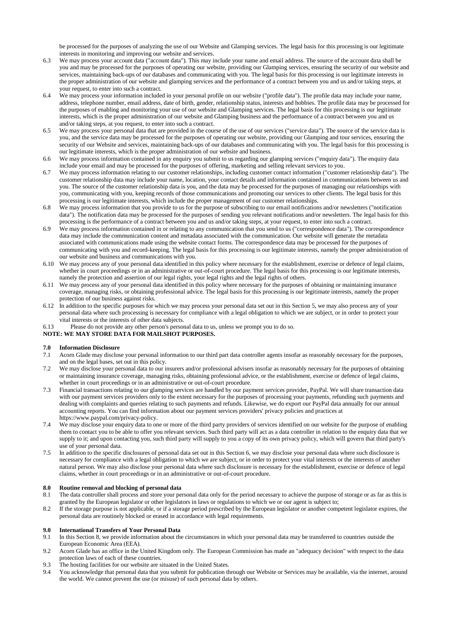be processed for the purposes of analyzing the use of our Website and Glamping services. The legal basis for this processing is our legitimate interests in monitoring and improving our website and services.

- 6.3 We may process your account data ("account data"). This may include your name and email address. The source of the account data shall be you and may be processed for the purposes of operating our website, providing our Glamping services, ensuring the security of our website and services, maintaining back-ups of our databases and communicating with you. The legal basis for this processing is our legitimate interests in the proper administration of our website and glamping services and the performance of a contract between you and us and/or taking steps, at your request, to enter into such a contract.
- 6.4 We may process your information included in your personal profile on our website ("profile data"). The profile data may include your name, address, telephone number, email address, date of birth, gender, relationship status, interests and hobbies. The profile data may be processed for the purposes of enabling and monitoring your use of our website and Glamping services. The legal basis for this processing is our legitimate interests, which is the proper administration of our website and Glamping business and the performance of a contract between you and us and/or taking steps, at you request, to enter into such a contract.
- 6.5 We may process your personal data that are provided in the course of the use of our services ("service data"). The source of the service data is you, and the service data may be processed for the purposes of operating our website, providing our Glamping and tour services, ensuring the security of our Website and services, maintaining back-ups of our databases and communicating with you. The legal basis for this processing is our legitimate interests, which is the proper administration of our website and business.
- 6.6 We may process information contained in any enquiry you submit to us regarding our glamping services ("enquiry data"). The enquiry data include your email and may be processed for the purposes of offering, marketing and selling relevant services to you.
- 6.7 We may process information relating to our customer relationships, including customer contact information ("customer relationship data"). The customer relationship data may include your name, location, your contact details and information contained in communications between us and you. The source of the customer relationship data is you, and the data may be processed for the purposes of managing our relationships with you, communicating with you, keeping records of those communications and promoting our services to other clients. The legal basis for this processing is our legitimate interests, which include the proper management of our customer relationships.
- 6.8 We may process information that you provide to us for the purpose of subscribing to our email notifications and/or newsletters ("notification data"). The notification data may be processed for the purposes of sending you relevant notifications and/or newsletters. The legal basis for this processing is the performance of a contract between you and us and/or taking steps, at your request, to enter into such a contract.
- 6.9 We may process information contained in or relating to any communication that you send to us ("correspondence data"). The correspondence data may include the communication content and metadata associated with the communication. Our website will generate the metadata associated with communications made using the website contact forms. The correspondence data may be processed for the purposes of communicating with you and record-keeping. The legal basis for this processing is our legitimate interests, namely the proper administration of our website and business and communications with you.
- 6.10 We may process any of your personal data identified in this policy where necessary for the establishment, exercise or defence of legal claims, whether in court proceedings or in an administrative or out-of-court procedure. The legal basis for this processing is our legitimate interests, namely the protection and assertion of our legal rights, your legal rights and the legal rights of others.
- 6.11 We may process any of your personal data identified in this policy where necessary for the purposes of obtaining or maintaining insurance coverage, managing risks, or obtaining professional advice. The legal basis for this processing is our legitimate interests, namely the proper protection of our business against risks.
- 6.12 In addition to the specific purposes for which we may process your personal data set out in this Section 5, we may also process any of your personal data where such processing is necessary for compliance with a legal obligation to which we are subject, or in order to protect your vital interests or the interests of other data subjects.
- 6.13 Please do not provide any other person's personal data to us, unless we prompt you to do so.

## **NOTE: WE MAY STORE DATA FOR MAILSHOT PURPOSES.**

## **7.0 Information Disclosure**<br>**7.1** Acorn Glade may disclos

- Acorn Glade may disclose your personal information to our third part data controller agents insofar as reasonably necessary for the purposes, and on the legal bases, set out in this policy.
- 7.2 We may disclose your personal data to our insurers and/or professional advisers insofar as reasonably necessary for the purposes of obtaining or maintaining insurance coverage, managing risks, obtaining professional advice, or the establishment, exercise or defence of legal claims, whether in court proceedings or in an administrative or out-of-court procedure.
- 7.3 Financial transactions relating to our glamping services are handled by our payment services provider, PayPal. We will share transaction data with our payment services providers only to the extent necessary for the purposes of processing your payments, refunding such payments and dealing with complaints and queries relating to such payments and refunds. Likewise, we do export our PayPal data annually for our annual accounting reports. You can find information about our payment services providers' privacy policies and practices at https://www.paypal.com/privacy-policy.
- 7.4 We may disclose your enquiry data to one or more of the third party providers of services identified on our website for the purpose of enabling them to contact you to be able to offer you relevant services. Such third party will act as a data controller in relation to the enquiry data that we supply to it; and upon contacting you, such third party will supply to you a copy of its own privacy policy, which will govern that third party's use of your personal data.
- 7.5 In addition to the specific disclosures of personal data set out in this Section 6, we may disclose your personal data where such disclosure is necessary for compliance with a legal obligation to which we are subject, or in order to protect your vital interests or the interests of another natural person. We may also disclose your personal data where such disclosure is necessary for the establishment, exercise or defence of legal claims, whether in court proceedings or in an administrative or out-of-court procedure.

## **8.0 Routine removal and blocking of personal data**

- 8.1 The data controller shall process and store your personal data only for the period necessary to achieve the purpose of storage or as far as this is granted by the European legislator or other legislators in laws or regulations to which we or our agent is subject to;
- 8.2 If the storage purpose is not applicable, or if a storage period prescribed by the European legislator or another competent legislator expires, the personal data are routinely blocked or erased in accordance with legal requirements.

## **9.0 International Transfers of Your Personal Data**

- 9.1 In this Section 8, we provide information about the circumstances in which your personal data may be transferred to countries outside the European Economic Area (EEA).
- 9.2 Acorn Glade has an office in the United Kingdom only. The European Commission has made an "adequacy decision" with respect to the data protection laws of each of these countries.
- 9.3 The hosting facilities for our website are situated in the United States.
- 9.4 You acknowledge that personal data that you submit for publication through our Website or Services may be available, via the internet, around the world. We cannot prevent the use (or misuse) of such personal data by others.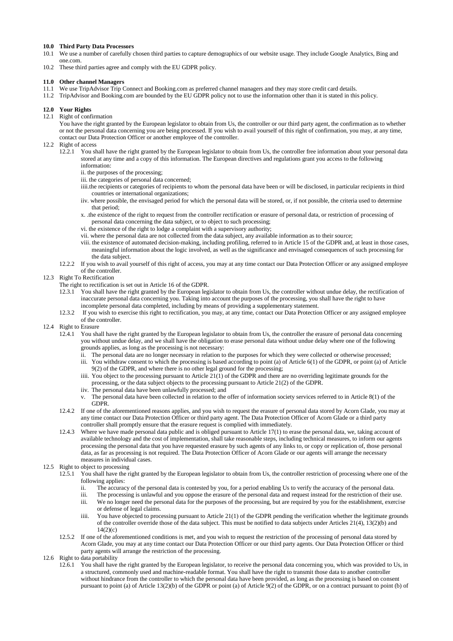# **10.0 Third Party Data Processors**

- We use a number of carefully chosen third parties to capture demographics of our website usage. They include Google Analytics, Bing and one.com.
- 10.2 These third parties agree and comply with the EU GDPR policy.

## **11.0 Other channel Managers**

- 11.1 We use TripAdvisor Trip Connect and Booking.com as preferred channel managers and they may store credit card details.
- 11.2 TripAdvisor and Booking.com are bounded by the EU GDPR policy not to use the information other than it is stated in this policy.

## **12.0 Your Rights**

## 12.1 Right of confirmation

You have the right granted by the European legislator to obtain from Us, the controller or our third party agent, the confirmation as to whether or not the personal data concerning you are being processed. If you wish to avail yourself of this right of confirmation, you may, at any time, contact our Data Protection Officer or another employee of the controller.

## 12.2 Right of access

- 12.2.1 You shall have the right granted by the European legislator to obtain from Us, the controller free information about your personal data stored at any time and a copy of this information. The European directives and regulations grant you access to the following information:
	- ii. the purposes of the processing;
	- iii. the categories of personal data concerned;
	- iiii.the recipients or categories of recipients to whom the personal data have been or will be disclosed, in particular recipients in third countries or international organizations;
	- iiv. where possible, the envisaged period for which the personal data will be stored, or, if not possible, the criteria used to determine that period;
	- x. .the existence of the right to request from the controller rectification or erasure of personal data, or restriction of processing of personal data concerning the data subject, or to object to such processing;
	- vi. the existence of the right to lodge a complaint with a supervisory authority;
	- vii. where the personal data are not collected from the data subject, any available information as to their source;
	- viii. the existence of automated decision-making, including profiling, referred to in Article 15 of the GDPR and, at least in those cases, meaningful information about the logic involved, as well as the significance and envisaged consequences of such processing for the data subject.
- 12.2.2 If you wish to avail yourself of this right of access, you may at any time contact our Data Protection Officer or any assigned employee of the controller.

## 12.3 Right To Rectification

- The right to rectification is set out in Article 16 of the GDPR.
- 12.3.1 You shall have the right granted by the European legislator to obtain from Us, the controller without undue delay, the rectification of inaccurate personal data concerning you. Taking into account the purposes of the processing, you shall have the right to have incomplete personal data completed, including by means of providing a supplementary statement.
- 12.3.2 If you wish to exercise this right to rectification, you may, at any time, contact our Data Protection Officer or any assigned employee of the controller.
- 12.4 Right to Erasure
	- 12.4.1 You shall have the right granted by the European legislator to obtain from Us, the controller the erasure of personal data concerning you without undue delay, and we shall have the obligation to erase personal data without undue delay where one of the following grounds applies, as long as the processing is not necessary:
		- ii. The personal data are no longer necessary in relation to the purposes for which they were collected or otherwise processed;
		- iii. You withdraw consent to which the processing is based according to point (a) of Article 6(1) of the GDPR, or point (a) of Article 9(2) of the GDPR, and where there is no other legal ground for the processing;
		- iiii. You object to the processing pursuant to Article  $21(1)$  of the GDPR and there are no overriding legitimate grounds for the processing, or the data subject objects to the processing pursuant to Article 21(2) of the GDPR.
		- iiv. The personal data have been unlawfully processed; and
		- v. The personal data have been collected in relation to the offer of information society services referred to in Article 8(1) of the GDPR.
	- 12.4.2 If one of the aforementioned reasons applies, and you wish to request the erasure of personal data stored by Acorn Glade, you may at any time contact our Data Protection Officer or third party agent. The Data Protection Officer of Acorn Glade or a third party controller shall promptly ensure that the erasure request is complied with immediately.
	- 12.4.3 Where we have made personal data public and is obliged pursuant to Article 17(1) to erase the personal data, we, taking account of available technology and the cost of implementation, shall take reasonable steps, including technical measures, to inform our agents processing the personal data that you have requested erasure by such agents of any links to, or copy or replication of, those personal data, as far as processing is not required. The Data Protection Officer of Acorn Glade or our agents will arrange the necessary measures in individual cases.

#### 12.5 Right to object to processing

- 12.5.1 You shall have the right granted by the European legislator to obtain from Us, the controller restriction of processing where one of the following applies:
	- ii. The accuracy of the personal data is contested by you, for a period enabling Us to verify the accuracy of the personal data.
	- iii. The processing is unlawful and you oppose the erasure of the personal data and request instead for the restriction of their use.
	- iii. We no longer need the personal data for the purposes of the processing, but are required by you for the establishment, exercise or defense of legal claims.
	- iiii. You have objected to processing pursuant to Article 21(1) of the GDPR pending the verification whether the legitimate grounds of the controller override those of the data subject. This must be notified to data subjects under Articles 21(4), 13(2)(b) and  $14(2)(c)$
- 12.5.2 If one of the aforementioned conditions is met, and you wish to request the restriction of the processing of personal data stored by Acorn Glade, you may at any time contact our Data Protection Officer or our third party agents. Our Data Protection Officer or third party agents will arrange the restriction of the processing.
- 12.6 Right to data portability
	- 12.6.1 You shall have the right granted by the European legislator, to receive the personal data concerning you, which was provided to Us, in a structured, commonly used and machine-readable format. You shall have the right to transmit those data to another controller without hindrance from the controller to which the personal data have been provided, as long as the processing is based on consent pursuant to point (a) of Article 13(2)(b) of the GDPR or point (a) of Article 9(2) of the GDPR, or on a contract pursuant to point (b) of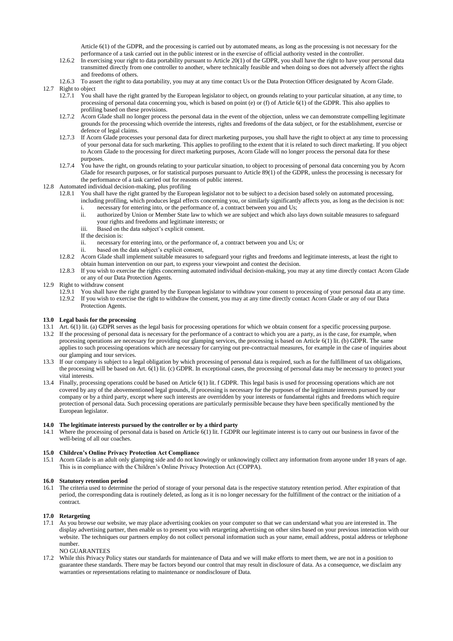Article 6(1) of the GDPR, and the processing is carried out by automated means, as long as the processing is not necessary for the performance of a task carried out in the public interest or in the exercise of official authority vested in the controller.

- 12.6.2 In exercising your right to data portability pursuant to Article 20(1) of the GDPR, you shall have the right to have your personal data transmitted directly from one controller to another, where technically feasible and when doing so does not adversely affect the rights and freedoms of others.
- 12.6.3 To assert the right to data portability, you may at any time contact Us or the Data Protection Officer designated by Acorn Glade.
- 12.7 Right to object
	- 12.7.1 You shall have the right granted by the European legislator to object, on grounds relating to your particular situation, at any time, to processing of personal data concerning you, which is based on point (e) or (f) of Article 6(1) of the GDPR. This also applies to profiling based on these provisions.
	- 12.7.2 Acorn Glade shall no longer process the personal data in the event of the objection, unless we can demonstrate compelling legitimate grounds for the processing which override the interests, rights and freedoms of the data subject, or for the establishment, exercise or defence of legal claims.
	- 12.7.3 If Acorn Glade processes your personal data for direct marketing purposes, you shall have the right to object at any time to processing of your personal data for such marketing. This applies to profiling to the extent that it is related to such direct marketing. If you object to Acorn Glade to the processing for direct marketing purposes, Acorn Glade will no longer process the personal data for these purposes.
	- 12.7.4 You have the right, on grounds relating to your particular situation, to object to processing of personal data concerning you by Acorn Glade for research purposes, or for statistical purposes pursuant to Article 89(1) of the GDPR, unless the processing is necessary for the performance of a task carried out for reasons of public interest.
- 12.8 Automated individual decision-making, plus profiling
	- 12.8.1 You shall have the right granted by the European legislator not to be subject to a decision based solely on automated processing, including profiling, which produces legal effects concerning you, or similarly significantly affects you, as long as the decision is not: i. necessary for entering into, or the performance of, a contract between you and Us;
		- ii. authorized by Union or Member State law to which we are subject and which also lays down suitable measures to safeguard your rights and freedoms and legitimate interests; or
		- iii. Based on the data subject's explicit consent.
		- If the decision is:
		- ii. necessary for entering into, or the performance of, a contract between you and Us; or
		- ii. based on the data subject's explicit consent,
	- 12.8.2 Acorn Glade shall implement suitable measures to safeguard your rights and freedoms and legitimate interests, at least the right to obtain human intervention on our part, to express your viewpoint and contest the decision.
	- 12.8.3 If you wish to exercise the rights concerning automated individual decision-making, you may at any time directly contact Acorn Glade or any of our Data Protection Agents.

## 12.9 Right to withdraw consent

- 12.9.1 You shall have the right granted by the European legislator to withdraw your consent to processing of your personal data at any time. 12.9.2 If you wish to exercise the right to withdraw the consent, you may at any time directly contact Acorn Glade or any of our Data
- Protection Agents.

## **13.0 Legal basis for the processing**

- 13.1 Art. 6(1) lit. (a) GDPR serves as the legal basis for processing operations for which we obtain consent for a specific processing purpose.
- 13.2 If the processing of personal data is necessary for the performance of a contract to which you are a party, as is the case, for example, when processing operations are necessary for providing our glamping services, the processing is based on Article 6(1) lit. (b) GDPR. The same applies to such processing operations which are necessary for carrying out pre-contractual measures, for example in the case of inquiries about our glamping and tour services.
- 13.3 If our company is subject to a legal obligation by which processing of personal data is required, such as for the fulfillment of tax obligations, the processing will be based on Art. 6(1) lit. (c) GDPR. In exceptional cases, the processing of personal data may be necessary to protect your vital interests.
- 13.4 Finally, processing operations could be based on Article 6(1) lit. f GDPR. This legal basis is used for processing operations which are not covered by any of the abovementioned legal grounds, if processing is necessary for the purposes of the legitimate interests pursued by our company or by a third party, except where such interests are overridden by your interests or fundamental rights and freedoms which require protection of personal data. Such processing operations are particularly permissible because they have been specifically mentioned by the European legislator.

## **14.0 The legitimate interests pursued by the controller or by a third party**

14.1 Where the processing of personal data is based on Article 6(1) lit. f GDPR our legitimate interest is to carry out our business in favor of the well-being of all our coaches.

## **15.0 Children's Online Privacy Protection Act Compliance**

15.1 Acorn Glade is an adult only glamping side and do not knowingly or unknowingly collect any information from anyone under 18 years of age. This is in compliance with the Children's Online Privacy Protection Act (COPPA).

### **16.0 Statutory retention period**

16.1 The criteria used to determine the period of storage of your personal data is the respective statutory retention period. After expiration of that period, the corresponding data is routinely deleted, as long as it is no longer necessary for the fulfillment of the contract or the initiation of a contract.

## **17.0 Retargeting**

17.1 As you browse our website, we may place advertising cookies on your computer so that we can understand what you are interested in. The display advertising partner, then enable us to present you with retargeting advertising on other sites based on your previous interaction with our website. The techniques our partners employ do not collect personal information such as your name, email address, postal address or telephone number.

## NO GUARANTEES

17.2 While this Privacy Policy states our standards for maintenance of Data and we will make efforts to meet them, we are not in a position to guarantee these standards. There may be factors beyond our control that may result in disclosure of data. As a consequence, we disclaim any warranties or representations relating to maintenance or nondisclosure of Data.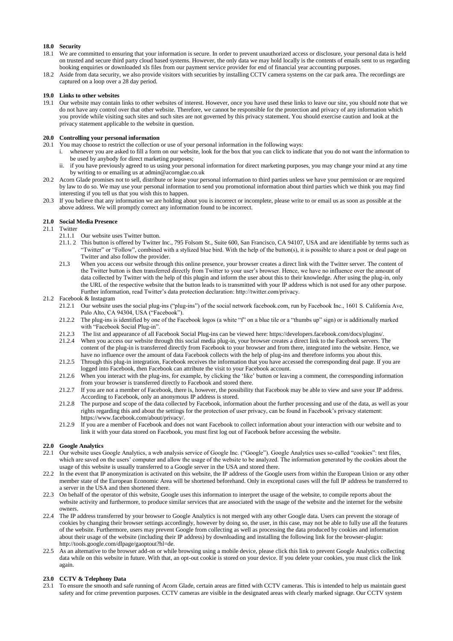## **18.0 Security**

- 18.1 We are committed to ensuring that your information is secure. In order to prevent unauthorized access or disclosure, your personal data is held on trusted and secure third party cloud based systems. However, the only data we may hold locally is the contents of emails sent to us regarding booking enquiries or downloaded xls files from our payment service provider for end of financial year accounting purposes.
- 18.2 Aside from data security, we also provide visitors with securities by installing CCTV camera systems on the car park area. The recordings are captured on a loop over a 28 day period.

## **19.0 Links to other websites**

19.1 Our website may contain links to other websites of interest. However, once you have used these links to leave our site, you should note that we do not have any control over that other website. Therefore, we cannot be responsible for the protection and privacy of any information which you provide while visiting such sites and such sites are not governed by this privacy statement. You should exercise caution and look at the privacy statement applicable to the website in question.

## **20.0 Controlling your personal information**

- 20.1 You may choose to restrict the collection or use of your personal information in the following ways:
	- i. whenever you are asked to fill a form on our website, look for the box that you can click to indicate that you do not want the information to be used by anybody for direct marketing purposes;
	- ii. if you have previously agreed to us using your personal information for direct marketing purposes, you may change your mind at any time by writing to or emailing us at admin@acornglae.co.uk
- 20.2 Acorn Glade promises not to sell, distribute or lease your personal information to third parties unless we have your permission or are required by law to do so. We may use your personal information to send you promotional information about third parties which we think you may find interesting if you tell us that you wish this to happen.
- 20.3 If you believe that any information we are holding about you is incorrect or incomplete, please write to or email us as soon as possible at the above address. We will promptly correct any information found to be incorrect.

## **21.0 Social Media Presence**

## 21.1 Twitter

- 21.1.1 Our website uses Twitter button.
- 21.1. 2 This button is offered by Twitter Inc., 795 Folsom St., Suite 600, San Francisco, CA 94107, USA and are identifiable by terms such as "Twitter" or "Follow", combined with a stylized blue bird. With the help of the button(s), it is possible to share a post or deal page on Twitter and also follow the provider.
- 21.3 When you access our website through this online presence, your browser creates a direct link with the Twitter server. The content of the Twitter button is then transferred directly from Twitter to your user's browser. Hence, we have no influence over the amount of data collected by Twitter with the help of this plugin and inform the user about this to their knowledge. After using the plug-in, only the URL of the respective website that the button leads to is transmitted with your IP address which is not used for any other purpose. Further information, read Twitter's data protection declaration: http://twitter.com/privacy.

## 21.2 Facebook & Instagram

- 21.2.1 Our website uses the social plug-ins ("plug-ins") of the social network facebook.com, run by Facebook Inc., 1601 S. California Ave, Palo Alto, CA 94304, USA ("Facebook").
- 21.2.2 The plug-ins is identified by one of the Facebook logos (a white "f" on a blue tile or a "thumbs up" sign) or is additionally marked with "Facebook Social Plug-in".
- 21.2.3 The list and appearance of all Facebook Social Plug-ins can be viewed here: https://developers.facebook.com/docs/plugins/.
- 21.2.4 When you access our website through this social media plug-in, your browser creates a direct link to the Facebook servers. The content of the plug-in is transferred directly from Facebook to your browser and from there, integrated into the website. Hence, we have no influence over the amount of data Facebook collects with the help of plug-ins and therefore informs you about this.
- 21.2.5 Through this plug-in integration, Facebook receives the information that you have accessed the corresponding deal page. If you are logged into Facebook, then Facebook can attribute the visit to your Facebook account.
- 21.2.6 When you interact with the plug-ins, for example, by clicking the 'like' button or leaving a comment, the corresponding information from your browser is transferred directly to Facebook and stored there.
- 21.2.7 If you are not a member of Facebook, there is, however, the possibility that Facebook may be able to view and save your IP address. According to Facebook, only an anonymous IP address is stored.
- 21.2.8 The purpose and scope of the data collected by Facebook, information about the further processing and use of the data, as well as your rights regarding this and about the settings for the protection of user privacy, can be found in Facebook's privacy statement: https://www.facebook.com/about/privacy/.
- 21.2.9 If you are a member of Facebook and does not want Facebook to collect information about your interaction with our website and to link it with your data stored on Facebook, you must first log out of Facebook before accessing the website.

## **22.0 Google Analytics**

- 22.1 Our website uses Google Analytics, a web analysis service of Google Inc. ("Google"). Google Analytics uses so-called "cookies": text files, which are saved on the users' computer and allow the usage of the website to be analyzed. The information generated by the cookies about the usage of this website is usually transferred to a Google server in the USA and stored there.
- 22.2 In the event that IP anonymization is activated on this website, the IP address of the Google users from within the European Union or any other member state of the European Economic Area will be shortened beforehand. Only in exceptional cases will the full IP address be transferred to a server in the USA and then shortened there.
- 22.3 On behalf of the operator of this website, Google uses this information to interpret the usage of the website, to compile reports about the website activity and furthermore, to produce similar services that are associated with the usage of the website and the internet for the website owners.
- 22.4 The IP address transferred by your browser to Google Analytics is not merged with any other Google data. Users can prevent the storage of cookies by changing their browser settings accordingly, however by doing so, the user, in this case, may not be able to fully use all the features of the website. Furthermore, users may prevent Google from collecting as well as processing the data produced by cookies and information about their usage of the website (including their IP address) by downloading and installing the following link for the browser-plugin: http://tools.google.com/dlpage/gaoptout?hl=de.
- 22.5 As an alternative to the browser add-on or while browsing using a mobile device, please click this link to prevent Google Analytics collecting data while on this website in future. With that, an opt-out cookie is stored on your device. If you delete your cookies, you must click the link again.

## **23.0 CCTV & Telephony Data**

23.1 To ensure the smooth and safe running of Acorn Glade, certain areas are fitted with CCTV cameras. This is intended to help us maintain guest safety and for crime prevention purposes. CCTV cameras are visible in the designated areas with clearly marked signage. Our CCTV system